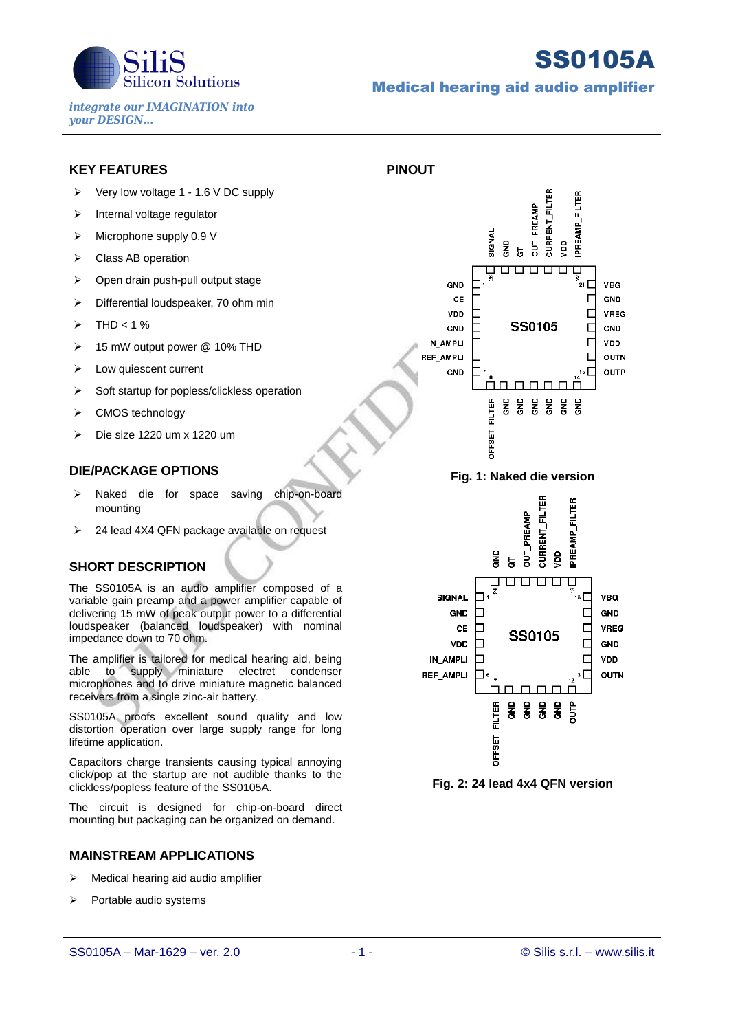

# SS0105A

*integrate our IMAGINATION into your DESIGN...*

## Medical hearing aid audio amplifier

**PINOUT**

## **KEY FEATURES**

- $\triangleright$  Very low voltage 1 1.6 V DC supply
- $\triangleright$  Internal voltage regulator
- $\triangleright$  Microphone supply 0.9 V
- ▶ Class AB operation
- ▶ Open drain push-pull output stage
- $\triangleright$  Differential loudspeaker, 70 ohm min
- $\triangleright$  THD < 1 %
- 15 mW output power @ 10% THD
- > Low quiescent current
- $\triangleright$  Soft startup for popless/clickless operation
- ▶ CMOS technology
- $\triangleright$  Die size 1220 um x 1220 um

#### **DIE/PACKAGE OPTIONS**

- > Naked die for space saving chip-on-board mounting
- $\geq$  24 lead 4X4 QFN package available on request

### **SHORT DESCRIPTION**

The SS0105A is an audio amplifier composed of a variable gain preamp and a power amplifier capable of delivering 15 mW of peak output power to a differential loudspeaker (balanced loudspeaker) with nominal impedance down to 70 ohm.

The amplifier is tailored for medical hearing aid, being able to supply miniature electret condenser microphones and to drive miniature magnetic balanced receivers from a single zinc-air battery.

SS0105A proofs excellent sound quality and low distortion operation over large supply range for long lifetime application.

Capacitors charge transients causing typical annoying click/pop at the startup are not audible thanks to the clickless/popless feature of the SS0105A.

The circuit is designed for chip-on-board direct mounting but packaging can be organized on demand.

#### **MAINSTREAM APPLICATIONS**

- $\triangleright$  Medical hearing aid audio amplifier
- $\triangleright$  Portable audio systems





**Fig. 2: 24 lead 4x4 QFN version**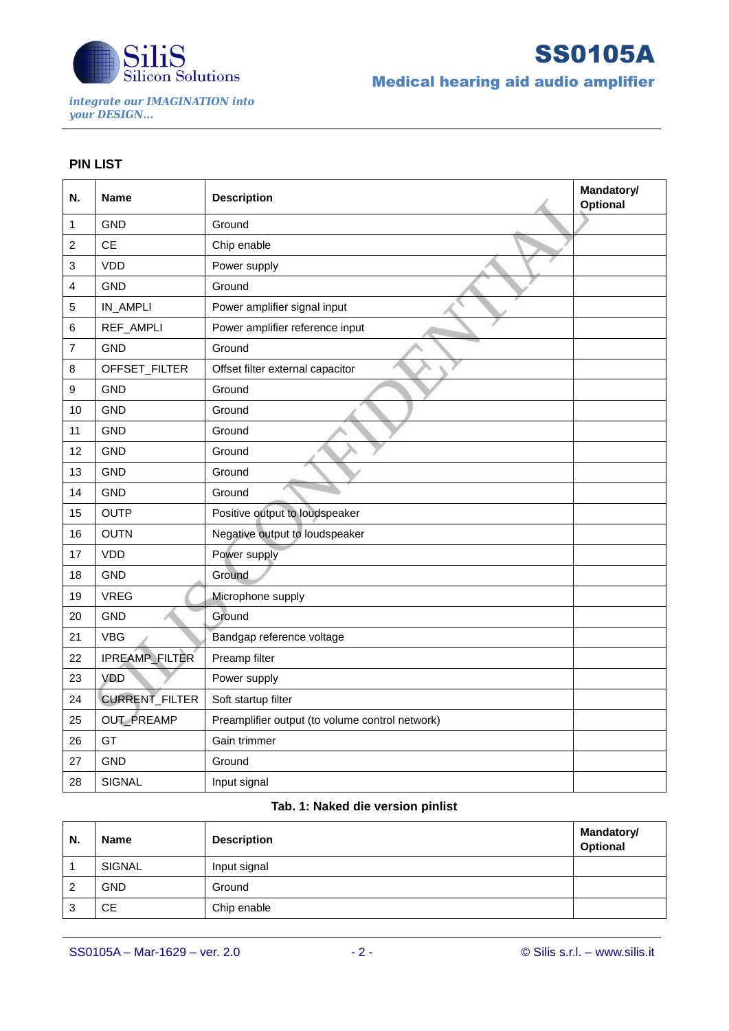

*integrate our IMAGINATION into your DESIGN...*

SS0105A

Medical hearing aid audio amplifier

## **PIN LIST**

| N.                        | <b>Name</b>           | <b>Description</b>                              | Mandatory/<br><b>Optional</b> |
|---------------------------|-----------------------|-------------------------------------------------|-------------------------------|
| 1                         | <b>GND</b>            | Ground                                          |                               |
| $\overline{c}$            | <b>CE</b>             | Chip enable                                     |                               |
| $\ensuremath{\mathsf{3}}$ | <b>VDD</b>            | Power supply                                    |                               |
| 4                         | <b>GND</b>            | Ground                                          |                               |
| 5                         | IN_AMPLI              | Power amplifier signal input                    |                               |
| 6                         | REF_AMPLI             | Power amplifier reference input                 |                               |
| 7                         | <b>GND</b>            | Ground                                          |                               |
| 8                         | OFFSET_FILTER         | Offset filter external capacitor                |                               |
| 9                         | <b>GND</b>            | Ground                                          |                               |
| 10                        | <b>GND</b>            | Ground                                          |                               |
| 11                        | <b>GND</b>            | Ground                                          |                               |
| 12                        | <b>GND</b>            | Ground                                          |                               |
| 13                        | <b>GND</b>            | Ground                                          |                               |
| 14                        | <b>GND</b>            | Ground                                          |                               |
| 15                        | <b>OUTP</b>           | Positive output to loudspeaker                  |                               |
| 16                        | <b>OUTN</b>           | Negative output to loudspeaker                  |                               |
| 17                        | <b>VDD</b>            | Power supply                                    |                               |
| 18                        | <b>GND</b>            | Ground                                          |                               |
| 19                        | <b>VREG</b>           | Microphone supply                               |                               |
| 20                        | <b>GND</b>            | Ground                                          |                               |
| 21                        | <b>VBG</b>            | Bandgap reference voltage                       |                               |
| 22                        | IPREAMP_FILTER        | Preamp filter                                   |                               |
| 23                        | VDD                   | Power supply                                    |                               |
| 24                        | <b>CURRENT_FILTER</b> | Soft startup filter                             |                               |
| 25                        | OUT_PREAMP            | Preamplifier output (to volume control network) |                               |
| 26                        | GT                    | Gain trimmer                                    |                               |
| 27                        | <b>GND</b>            | Ground                                          |                               |
| 28                        | <b>SIGNAL</b>         | Input signal                                    |                               |

## **Tab. 1: Naked die version pinlist**

| N. | <b>Name</b> | <b>Description</b> | <b>Mandatory/</b><br>Optional |
|----|-------------|--------------------|-------------------------------|
|    | SIGNAL      | Input signal       |                               |
|    | <b>GND</b>  | Ground             |                               |
| 3  | <b>CE</b>   | Chip enable        |                               |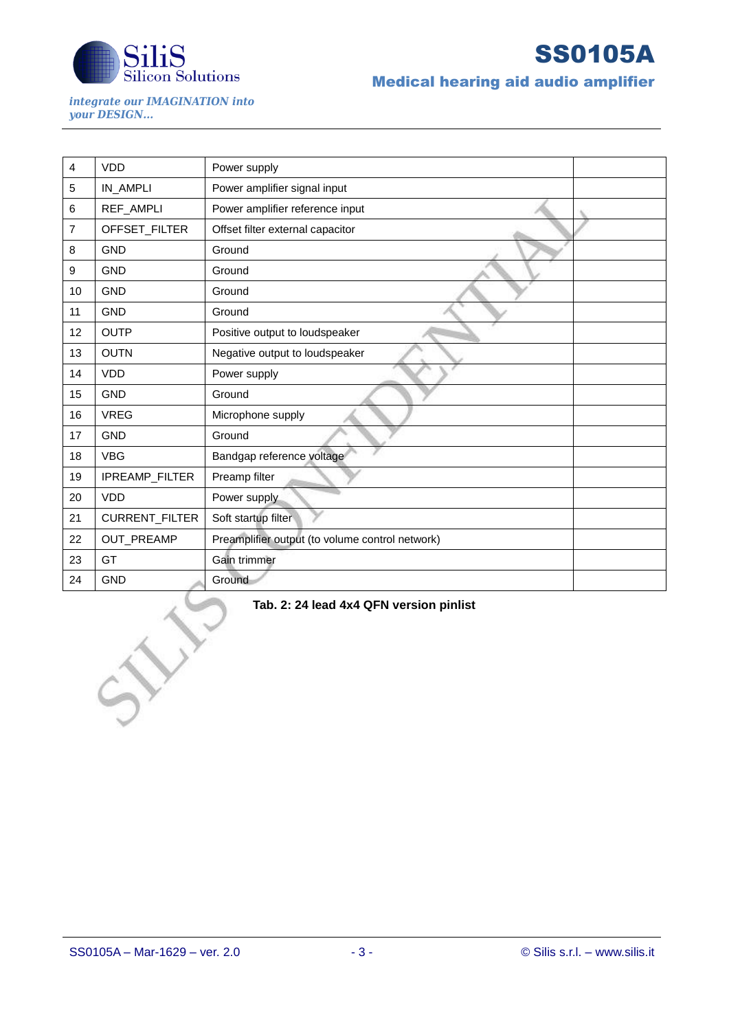

SS0105A

Medical hearing aid audio amplifier

*integrate our IMAGINATION into your DESIGN...*

| 4  | <b>VDD</b>     | Power supply                                    |
|----|----------------|-------------------------------------------------|
| 5  | IN_AMPLI       | Power amplifier signal input                    |
| 6  | REF_AMPLI      | Power amplifier reference input                 |
| 7  | OFFSET_FILTER  | Offset filter external capacitor                |
| 8  | <b>GND</b>     | Ground                                          |
| 9  | <b>GND</b>     | Ground                                          |
| 10 | <b>GND</b>     | Ground                                          |
| 11 | <b>GND</b>     | Ground                                          |
| 12 | <b>OUTP</b>    | Positive output to loudspeaker                  |
| 13 | <b>OUTN</b>    | Negative output to loudspeaker                  |
| 14 | <b>VDD</b>     | Power supply                                    |
| 15 | <b>GND</b>     | Ground                                          |
| 16 | <b>VREG</b>    | Microphone supply                               |
| 17 | <b>GND</b>     | Ground                                          |
| 18 | <b>VBG</b>     | Bandgap reference voltage                       |
| 19 | IPREAMP_FILTER | Preamp filter                                   |
| 20 | <b>VDD</b>     | Power supply                                    |
| 21 | CURRENT_FILTER | Soft startup filter                             |
| 22 | OUT_PREAMP     | Preamplifier output (to volume control network) |
| 23 | GT             | Gain trimmer                                    |
| 24 | <b>GND</b>     | Ground                                          |

**Tab. 2: 24 lead 4x4 QFN version pinlist**

 $\searrow$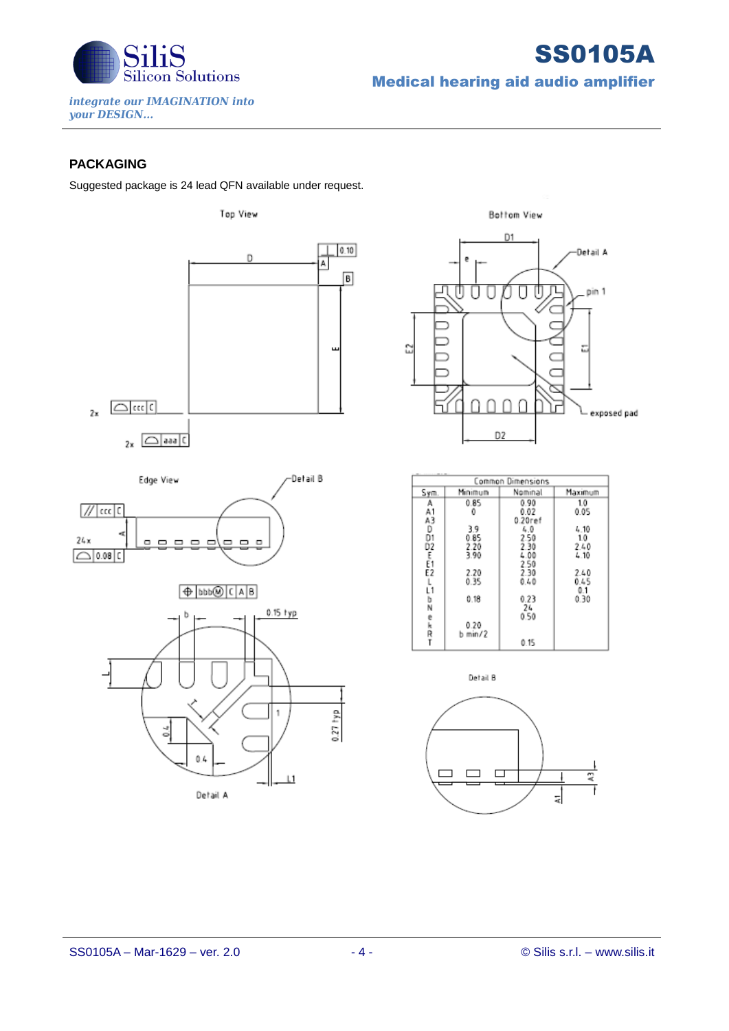

SS0105A Medical hearing aid audio amplifier

*integrate our IMAGINATION into your DESIGN...*

## **PACKAGING**

Suggested package is 24 lead QFN available under request.